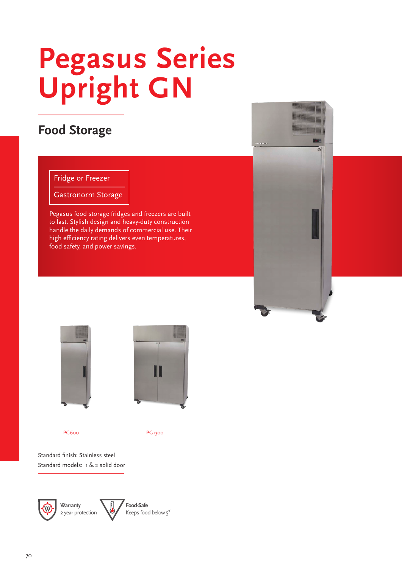# **Upright GN Pegasus Series**

## **Food Storage**

#### Fridge or Freezer

Gastronorm Storage

Pegasus food storage fridges and freezers are built to last. Stylish design and heavy-duty construction handle the daily demands of commercial use. Their high efficiency rating delivers even temperatures, food safety, and power savings.





PG<sub>600</sub>



PG1300

Standard finish: Stainless steel Standard models: 1 & 2 solid door

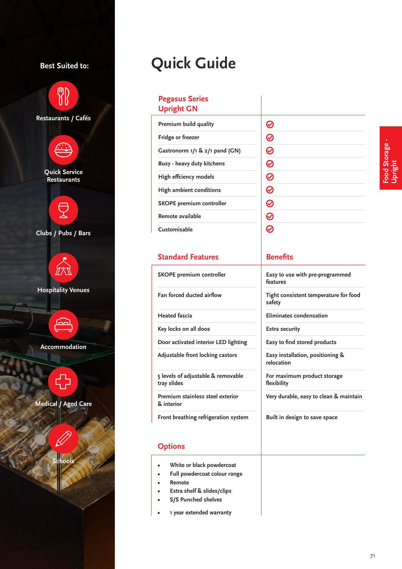#### **Best Suited to:**



## **Quick Guide**

#### **Pegasus Series Upright GN**

| Premium build quality              |
|------------------------------------|
| <b>Fridge or freezer</b>           |
| Gastronorm $1/1$ & $2/1$ pand (GN) |
| Busy - heavy duty kitchens         |
| High effciency models              |
| High ambient conditions            |
| <b>SKOPE premium controller</b>    |
| Remote available                   |
| Customisable                       |

| $\circledcirc$ $\circledcirc$ $\circledcirc$ $\circledcirc$ |
|-------------------------------------------------------------|
|                                                             |
|                                                             |
|                                                             |
| $\begin{array}{c} \textcircled{\scriptsize{8}} \end{array}$ |
|                                                             |

#### **Standard Features**

**SKOPE premium controller** 

**Fan forced ducted airflow** 

**Heated fascia**

**Key locks on all doos**

**Door activated interior LED lighting**

**Adjustable front locking castors** 

**5 levels of adjustable & removable tray slides**

**Premium stainless steel exterior & interior** 

**Front breathing refrigeration system**

#### **Options**

- **• White or black powdercoat**
- **• Full powdercoat colour range**
- **• Remote**
- **• Extra shelf & slides/clips**
- **• S/S Punched shelves**
- **• 1 year extended warranty**

#### **Benefits**

**Easy to use with pre-programmed features**

**Tight consistent temperature for food safety**

**Eliminates condensation**

**Extra security**

**Easy to find stored products**

**Easy installation, positioning & relocation**

**For maximum product storage flexibility**

**Very durable, easy to clean & maintain** 

**Built in design to save space**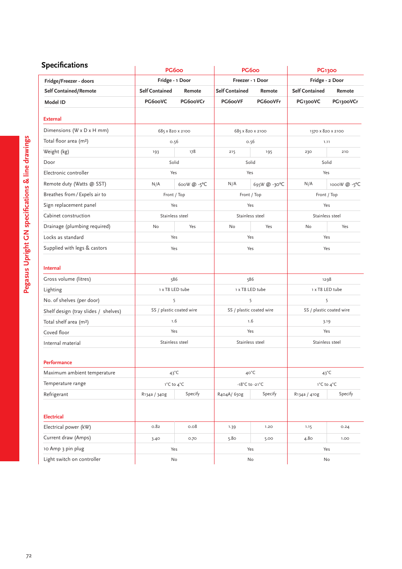| <b>Specifications</b>                | PG6oo                 |                          | PG6oo                 |                          | <b>PG1300</b>         |                          |  |
|--------------------------------------|-----------------------|--------------------------|-----------------------|--------------------------|-----------------------|--------------------------|--|
| Fridge/Freezer - doors               | Fridge - 1 Door       |                          | Freezer - 1 Door      |                          | Fridge - 2 Door       |                          |  |
| <b>Self Contained/Remote</b>         | <b>Self Contained</b> | Remote                   | <b>Self Contained</b> | Remote                   | <b>Self Contained</b> | Remote                   |  |
| Model ID                             | PG6ooVC               | PG6ooVCr                 | PG6ooVF               | PG6ooVFr                 | PG1300VC              | PG1300VCr                |  |
| <b>External</b>                      |                       |                          |                       |                          |                       |                          |  |
| Dimensions (W x D x H mm)            | 685 x 820 x 2100      |                          | 685 x 820 x 2100      |                          | 1370 x 820 x 2100     |                          |  |
| Total floor area (m <sup>2</sup> )   | 0.56                  |                          | 0.56                  |                          | 1.11                  |                          |  |
| Weight (kg)                          | 193                   | 178                      | 215                   | 195                      | 230                   | 210                      |  |
| Door                                 |                       | Solid                    |                       | Solid                    |                       | Solid                    |  |
| Electronic controller                |                       | Yes                      | Yes                   |                          | Yes                   |                          |  |
| Remote duty (Watts @ SST)            | N/A                   | 600W @ -5°C              | N/A                   | 695W @ -30°C             | N/A                   | 1000W @ -5°C             |  |
| Breathes from / Expels air to        |                       | Front / Top              |                       | Front / Top              |                       | Front / Top              |  |
| Sign replacement panel               |                       | Yes                      | Yes                   |                          | Yes                   |                          |  |
| Cabinet construction                 | Stainless steel       |                          | Stainless steel       |                          | Stainless steel       |                          |  |
| Drainage (plumbing required)         | No                    | Yes                      | No                    | Yes                      | No                    | Yes                      |  |
| Locks as standard                    |                       | Yes                      |                       | Yes                      |                       | Yes                      |  |
| Supplied with legs & castors         | Yes                   |                          | Yes                   |                          | Yes                   |                          |  |
| <b>Internal</b>                      |                       |                          |                       |                          |                       |                          |  |
| Gross volume (litres)                |                       | 586                      |                       | 586                      |                       | 1298                     |  |
| Lighting                             | 1 x T8 LED tube       |                          | 1 x T8 LED tube       |                          | 1 x T8 LED tube       |                          |  |
| No. of shelves (per door)            | 5                     |                          | 5                     |                          | 5                     |                          |  |
| Shelf design (tray slides / shelves) |                       | SS / plastic coated wire |                       | SS / plastic coated wire |                       | SS / plastic coated wire |  |
| Total shelf area (m <sup>2</sup> )   |                       | 1.6                      |                       | 1.6                      |                       | 3.19                     |  |
| Coved floor                          |                       | Yes                      |                       | Yes                      |                       | Yes                      |  |
| Internal material                    | Stainless steel       |                          | Stainless steel       |                          | Stainless steel       |                          |  |
| Performance                          |                       |                          |                       |                          |                       |                          |  |
| Maximum ambient temperature          |                       | $43^{\circ}$ C           |                       | 40°C                     |                       | $43^{\circ}$ C           |  |
| Temperature range                    | 1°C to 4°C            |                          | -18°C to -21°C        |                          | 1°C to 4°C            |                          |  |
| Refrigerant                          | R134a / 340g          | Specify                  | R404A/ 650g           | Specify                  | R134a / 410g          | Specify                  |  |
| <b>Electrical</b>                    |                       |                          |                       |                          |                       |                          |  |
| Electrical power (kW)                | 0.82                  | 0.08                     | 1.39                  | 1.20                     | 1.15                  | 0.24                     |  |
| Current draw (Amps)                  | 3.40                  | 0.70                     | 5.80                  | 5.00                     | 4.80                  | 1.00                     |  |
| 10 Amp 3 pin plug                    |                       | Yes                      | Yes                   |                          | Yes                   |                          |  |
| Light switch on controller           |                       | No                       |                       | No                       |                       | No                       |  |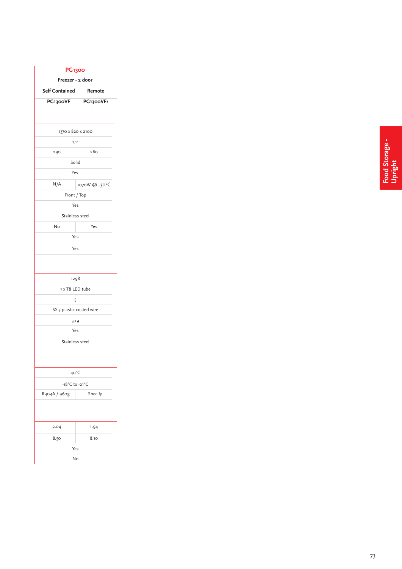| Freezer - 2 door         | <b>PG1300</b> |  |  |
|--------------------------|---------------|--|--|
| <b>Self Contained</b>    | Remote        |  |  |
| PG1300VF                 | PG1300VFr     |  |  |
|                          |               |  |  |
| 1370 x 820 x 2100        |               |  |  |
| 1.11                     |               |  |  |
| 290                      | 260           |  |  |
| Solid                    |               |  |  |
| Yes                      |               |  |  |
| N/A                      | 1070W @ -30°C |  |  |
| Front / Top              |               |  |  |
| Yes                      |               |  |  |
| Stainless steel          |               |  |  |
| No                       | Yes           |  |  |
| Yes                      |               |  |  |
| Yes                      |               |  |  |
| 1298                     |               |  |  |
| 1 x T8 LED tube          |               |  |  |
| 5                        |               |  |  |
| SS / plastic coated wire |               |  |  |
| 3.19                     |               |  |  |
| Yes                      |               |  |  |
| Stainless steel          |               |  |  |
|                          |               |  |  |
| 40°C                     |               |  |  |
| -18°C to -21°C           |               |  |  |
| R404A / 960g             | Specify       |  |  |
|                          |               |  |  |
| 2.04                     | 1.94          |  |  |
|                          |               |  |  |
| 8.50                     | 8.10          |  |  |
| Yes                      |               |  |  |